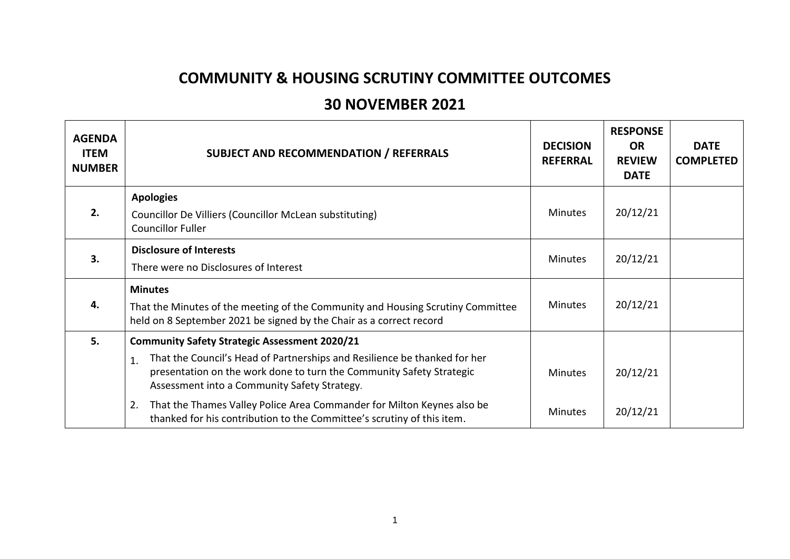## **COMMUNITY & HOUSING SCRUTINY COMMITTEE OUTCOMES**

## **30 NOVEMBER 2021**

| <b>AGENDA</b><br><b>ITEM</b><br><b>NUMBER</b> | <b>SUBJECT AND RECOMMENDATION / REFERRALS</b>                                                                                                                                                           | <b>DECISION</b><br><b>REFERRAL</b> | <b>RESPONSE</b><br><b>OR</b><br><b>REVIEW</b><br><b>DATE</b> | <b>DATE</b><br><b>COMPLETED</b> |
|-----------------------------------------------|---------------------------------------------------------------------------------------------------------------------------------------------------------------------------------------------------------|------------------------------------|--------------------------------------------------------------|---------------------------------|
| 2.                                            | <b>Apologies</b><br>Councillor De Villiers (Councillor McLean substituting)                                                                                                                             | <b>Minutes</b>                     | 20/12/21                                                     |                                 |
|                                               | <b>Councillor Fuller</b>                                                                                                                                                                                |                                    |                                                              |                                 |
| 3.                                            | <b>Disclosure of Interests</b>                                                                                                                                                                          | <b>Minutes</b>                     | 20/12/21                                                     |                                 |
|                                               | There were no Disclosures of Interest                                                                                                                                                                   |                                    |                                                              |                                 |
| 4.                                            | <b>Minutes</b>                                                                                                                                                                                          | <b>Minutes</b>                     | 20/12/21                                                     |                                 |
|                                               | That the Minutes of the meeting of the Community and Housing Scrutiny Committee<br>held on 8 September 2021 be signed by the Chair as a correct record                                                  |                                    |                                                              |                                 |
| 5.                                            | <b>Community Safety Strategic Assessment 2020/21</b>                                                                                                                                                    |                                    |                                                              |                                 |
|                                               | That the Council's Head of Partnerships and Resilience be thanked for her<br>1.<br>presentation on the work done to turn the Community Safety Strategic<br>Assessment into a Community Safety Strategy. | <b>Minutes</b>                     | 20/12/21                                                     |                                 |
|                                               | That the Thames Valley Police Area Commander for Milton Keynes also be<br>2.<br>thanked for his contribution to the Committee's scrutiny of this item.                                                  | <b>Minutes</b>                     | 20/12/21                                                     |                                 |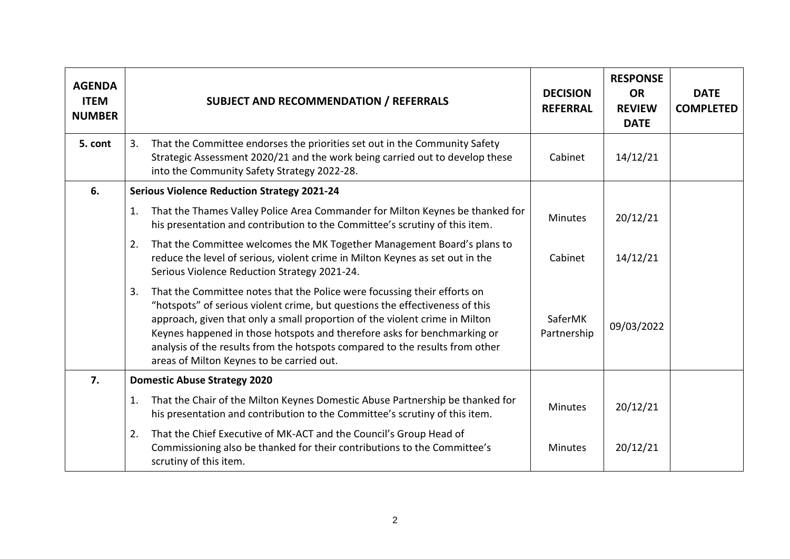| <b>AGENDA</b><br><b>ITEM</b><br><b>NUMBER</b> | <b>SUBJECT AND RECOMMENDATION / REFERRALS</b>                                                                                                                                                                                                                                                                                                                                                                                                          | <b>DECISION</b><br><b>REFERRAL</b> | <b>RESPONSE</b><br><b>OR</b><br><b>REVIEW</b><br><b>DATE</b> | <b>DATE</b><br><b>COMPLETED</b> |
|-----------------------------------------------|--------------------------------------------------------------------------------------------------------------------------------------------------------------------------------------------------------------------------------------------------------------------------------------------------------------------------------------------------------------------------------------------------------------------------------------------------------|------------------------------------|--------------------------------------------------------------|---------------------------------|
| 5. cont                                       | That the Committee endorses the priorities set out in the Community Safety<br>3.<br>Strategic Assessment 2020/21 and the work being carried out to develop these<br>into the Community Safety Strategy 2022-28.                                                                                                                                                                                                                                        | Cabinet                            | 14/12/21                                                     |                                 |
| 6.                                            | <b>Serious Violence Reduction Strategy 2021-24</b>                                                                                                                                                                                                                                                                                                                                                                                                     |                                    |                                                              |                                 |
|                                               | That the Thames Valley Police Area Commander for Milton Keynes be thanked for<br>1.<br>his presentation and contribution to the Committee's scrutiny of this item.                                                                                                                                                                                                                                                                                     | <b>Minutes</b>                     | 20/12/21                                                     |                                 |
|                                               | That the Committee welcomes the MK Together Management Board's plans to<br>2.<br>reduce the level of serious, violent crime in Milton Keynes as set out in the<br>Serious Violence Reduction Strategy 2021-24.                                                                                                                                                                                                                                         | Cabinet                            | 14/12/21                                                     |                                 |
|                                               | That the Committee notes that the Police were focussing their efforts on<br>3.<br>"hotspots" of serious violent crime, but questions the effectiveness of this<br>approach, given that only a small proportion of the violent crime in Milton<br>Keynes happened in those hotspots and therefore asks for benchmarking or<br>analysis of the results from the hotspots compared to the results from other<br>areas of Milton Keynes to be carried out. | SaferMK<br>Partnership             | 09/03/2022                                                   |                                 |
| 7.                                            | <b>Domestic Abuse Strategy 2020</b>                                                                                                                                                                                                                                                                                                                                                                                                                    |                                    |                                                              |                                 |
|                                               | That the Chair of the Milton Keynes Domestic Abuse Partnership be thanked for<br>1.<br>his presentation and contribution to the Committee's scrutiny of this item.                                                                                                                                                                                                                                                                                     | <b>Minutes</b>                     | 20/12/21                                                     |                                 |
|                                               | That the Chief Executive of MK-ACT and the Council's Group Head of<br>2.<br>Commissioning also be thanked for their contributions to the Committee's<br>scrutiny of this item.                                                                                                                                                                                                                                                                         | <b>Minutes</b>                     | 20/12/21                                                     |                                 |